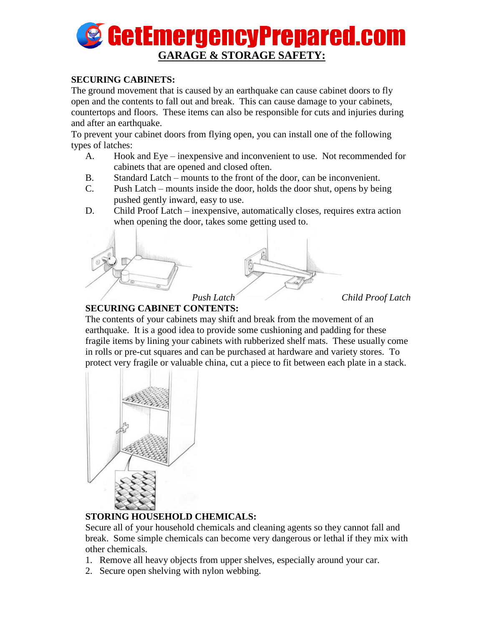

#### **SECURING CABINETS:**

The ground movement that is caused by an earthquake can cause cabinet doors to fly open and the contents to fall out and break. This can cause damage to your cabinets, countertops and floors. These items can also be responsible for cuts and injuries during and after an earthquake.

To prevent your cabinet doors from flying open, you can install one of the following types of latches:

- A. Hook and Eye inexpensive and inconvenient to use. Not recommended for cabinets that are opened and closed often.
- B. Standard Latch mounts to the front of the door, can be inconvenient.
- C. Push Latch mounts inside the door, holds the door shut, opens by being pushed gently inward, easy to use.
- D. Child Proof Latch inexpensive, automatically closes, requires extra action when opening the door, takes some getting used to.



### **SECURING CABINET CONTENTS:**

The contents of your cabinets may shift and break from the movement of an earthquake. It is a good idea to provide some cushioning and padding for these fragile items by lining your cabinets with rubberized shelf mats. These usually come in rolls or pre-cut squares and can be purchased at hardware and variety stores. To protect very fragile or valuable china, cut a piece to fit between each plate in a stack.



# **STORING HOUSEHOLD CHEMICALS:**

Secure all of your household chemicals and cleaning agents so they cannot fall and break. Some simple chemicals can become very dangerous or lethal if they mix with other chemicals.

- 1. Remove all heavy objects from upper shelves, especially around your car.
- 2. Secure open shelving with nylon webbing.